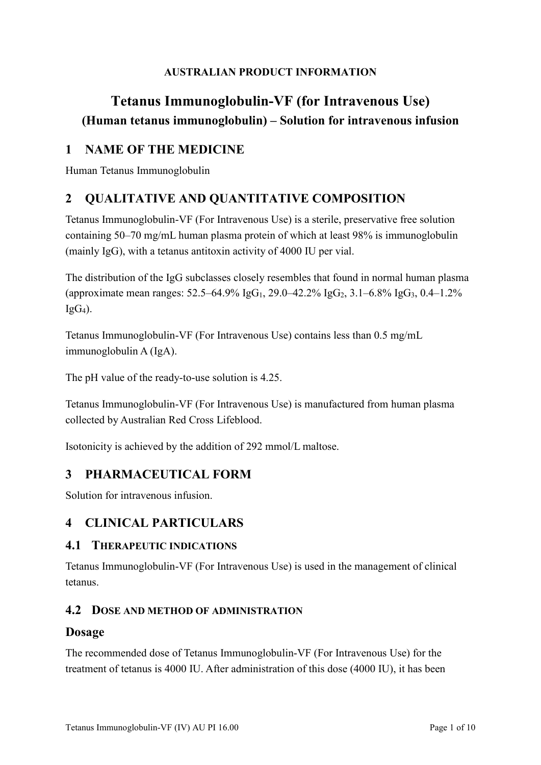### **AUSTRALIAN PRODUCT INFORMATION**

# **Tetanus Immunoglobulin-VF (for Intravenous Use) (Human tetanus immunoglobulin) – Solution for intravenous infusion**

## **1 NAME OF THE MEDICINE**

Human Tetanus Immunoglobulin

## **2 QUALITATIVE AND QUANTITATIVE COMPOSITION**

Tetanus Immunoglobulin-VF (For Intravenous Use) is a sterile, preservative free solution containing 50–70 mg/mL human plasma protein of which at least 98% is immunoglobulin (mainly IgG), with a tetanus antitoxin activity of 4000 IU per vial.

The distribution of the IgG subclasses closely resembles that found in normal human plasma (approximate mean ranges:  $52.5-64.9\%$  IgG<sub>1</sub>,  $29.0-42.2\%$  IgG<sub>2</sub>,  $3.1-6.8\%$  IgG<sub>3</sub>,  $0.4-1.2\%$  $IgG_4$ ).

Tetanus Immunoglobulin-VF (For Intravenous Use) contains less than 0.5 mg/mL immunoglobulin A (IgA).

The pH value of the ready-to-use solution is 4.25.

Tetanus Immunoglobulin-VF (For Intravenous Use) is manufactured from human plasma collected by Australian Red Cross Lifeblood.

Isotonicity is achieved by the addition of 292 mmol/L maltose.

## **3 PHARMACEUTICAL FORM**

Solution for intravenous infusion.

## **4 CLINICAL PARTICULARS**

### **4.1 THERAPEUTIC INDICATIONS**

Tetanus Immunoglobulin-VF (For Intravenous Use) is used in the management of clinical tetanus.

### **4.2 DOSE AND METHOD OF ADMINISTRATION**

### **Dosage**

The recommended dose of Tetanus Immunoglobulin-VF (For Intravenous Use) for the treatment of tetanus is 4000 IU. After administration of this dose (4000 IU), it has been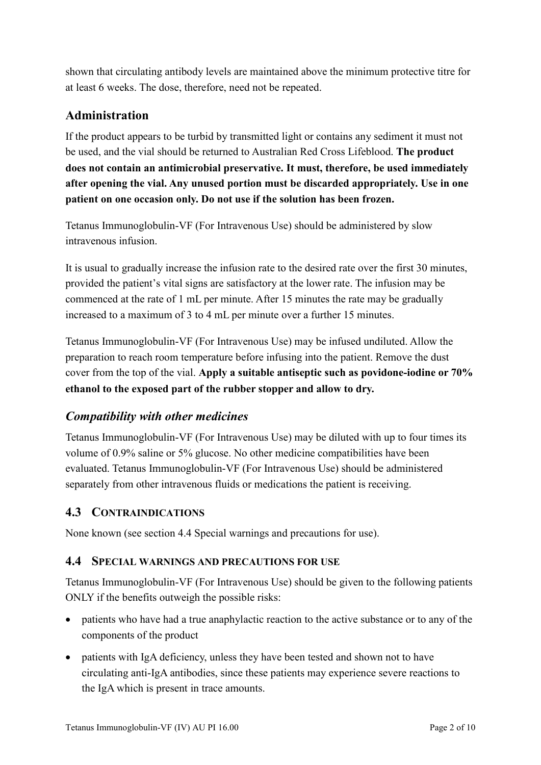shown that circulating antibody levels are maintained above the minimum protective titre for at least 6 weeks. The dose, therefore, need not be repeated.

## **Administration**

If the product appears to be turbid by transmitted light or contains any sediment it must not be used, and the vial should be returned to Australian Red Cross Lifeblood. **The product does not contain an antimicrobial preservative. It must, therefore, be used immediately after opening the vial. Any unused portion must be discarded appropriately. Use in one patient on one occasion only. Do not use if the solution has been frozen.**

Tetanus Immunoglobulin-VF (For Intravenous Use) should be administered by slow intravenous infusion.

It is usual to gradually increase the infusion rate to the desired rate over the first 30 minutes, provided the patient's vital signs are satisfactory at the lower rate. The infusion may be commenced at the rate of 1 mL per minute. After 15 minutes the rate may be gradually increased to a maximum of 3 to 4 mL per minute over a further 15 minutes.

Tetanus Immunoglobulin-VF (For Intravenous Use) may be infused undiluted. Allow the preparation to reach room temperature before infusing into the patient. Remove the dust cover from the top of the vial. **Apply a suitable antiseptic such as povidone-iodine or 70% ethanol to the exposed part of the rubber stopper and allow to dry.**

## *Compatibility with other medicines*

Tetanus Immunoglobulin-VF (For Intravenous Use) may be diluted with up to four times its volume of 0.9% saline or 5% glucose. No other medicine compatibilities have been evaluated. Tetanus Immunoglobulin-VF (For Intravenous Use) should be administered separately from other intravenous fluids or medications the patient is receiving.

### **4.3 CONTRAINDICATIONS**

None known (see section 4.4 Special warnings and precautions for use).

### **4.4 SPECIAL WARNINGS AND PRECAUTIONS FOR USE**

Tetanus Immunoglobulin-VF (For Intravenous Use) should be given to the following patients ONLY if the benefits outweigh the possible risks:

- patients who have had a true anaphylactic reaction to the active substance or to any of the components of the product
- patients with IgA deficiency, unless they have been tested and shown not to have circulating anti-IgA antibodies, since these patients may experience severe reactions to the IgA which is present in trace amounts.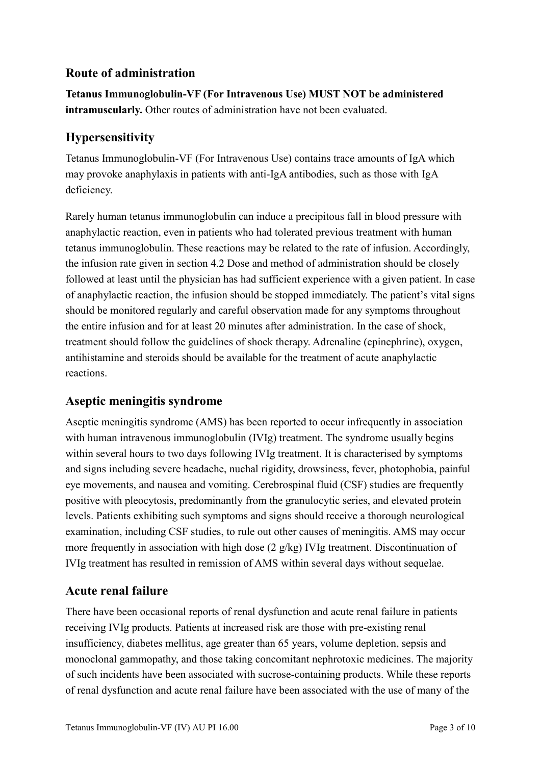## **Route of administration**

**Tetanus Immunoglobulin-VF (For Intravenous Use) MUST NOT be administered intramuscularly.** Other routes of administration have not been evaluated.

## **Hypersensitivity**

Tetanus Immunoglobulin-VF (For Intravenous Use) contains trace amounts of IgA which may provoke anaphylaxis in patients with anti-IgA antibodies, such as those with IgA deficiency.

Rarely human tetanus immunoglobulin can induce a precipitous fall in blood pressure with anaphylactic reaction, even in patients who had tolerated previous treatment with human tetanus immunoglobulin. These reactions may be related to the rate of infusion. Accordingly, the infusion rate given in section 4.2 Dose and method of administration should be closely followed at least until the physician has had sufficient experience with a given patient. In case of anaphylactic reaction, the infusion should be stopped immediately. The patient's vital signs should be monitored regularly and careful observation made for any symptoms throughout the entire infusion and for at least 20 minutes after administration. In the case of shock, treatment should follow the guidelines of shock therapy. Adrenaline (epinephrine), oxygen, antihistamine and steroids should be available for the treatment of acute anaphylactic reactions.

### **Aseptic meningitis syndrome**

Aseptic meningitis syndrome (AMS) has been reported to occur infrequently in association with human intravenous immunoglobulin (IVIg) treatment. The syndrome usually begins within several hours to two days following IVIg treatment. It is characterised by symptoms and signs including severe headache, nuchal rigidity, drowsiness, fever, photophobia, painful eye movements, and nausea and vomiting. Cerebrospinal fluid (CSF) studies are frequently positive with pleocytosis, predominantly from the granulocytic series, and elevated protein levels. Patients exhibiting such symptoms and signs should receive a thorough neurological examination, including CSF studies, to rule out other causes of meningitis. AMS may occur more frequently in association with high dose (2 g/kg) IVIg treatment. Discontinuation of IVIg treatment has resulted in remission of AMS within several days without sequelae.

### **Acute renal failure**

There have been occasional reports of renal dysfunction and acute renal failure in patients receiving IVIg products. Patients at increased risk are those with pre-existing renal insufficiency, diabetes mellitus, age greater than 65 years, volume depletion, sepsis and monoclonal gammopathy, and those taking concomitant nephrotoxic medicines. The majority of such incidents have been associated with sucrose-containing products. While these reports of renal dysfunction and acute renal failure have been associated with the use of many of the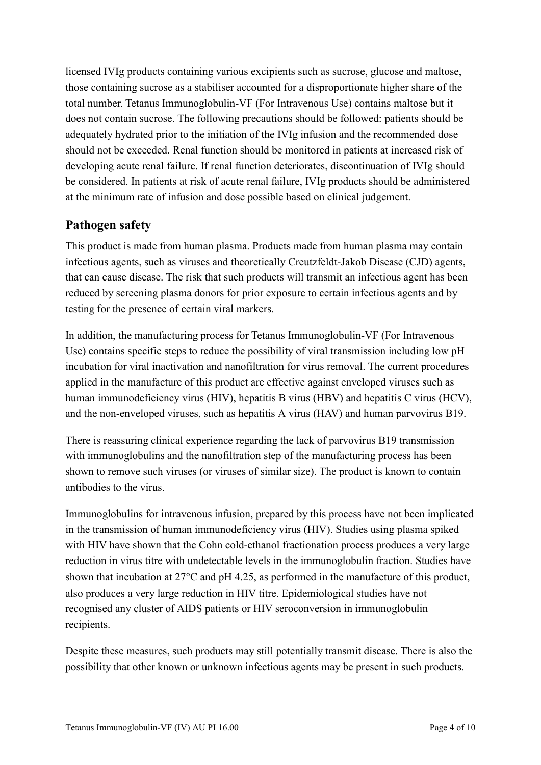licensed IVIg products containing various excipients such as sucrose, glucose and maltose, those containing sucrose as a stabiliser accounted for a disproportionate higher share of the total number. Tetanus Immunoglobulin-VF (For Intravenous Use) contains maltose but it does not contain sucrose. The following precautions should be followed: patients should be adequately hydrated prior to the initiation of the IVIg infusion and the recommended dose should not be exceeded. Renal function should be monitored in patients at increased risk of developing acute renal failure. If renal function deteriorates, discontinuation of IVIg should be considered. In patients at risk of acute renal failure, IVIg products should be administered at the minimum rate of infusion and dose possible based on clinical judgement.

### **Pathogen safety**

This product is made from human plasma. Products made from human plasma may contain infectious agents, such as viruses and theoretically Creutzfeldt-Jakob Disease (CJD) agents, that can cause disease. The risk that such products will transmit an infectious agent has been reduced by screening plasma donors for prior exposure to certain infectious agents and by testing for the presence of certain viral markers.

In addition, the manufacturing process for Tetanus Immunoglobulin-VF (For Intravenous Use) contains specific steps to reduce the possibility of viral transmission including low pH incubation for viral inactivation and nanofiltration for virus removal. The current procedures applied in the manufacture of this product are effective against enveloped viruses such as human immunodeficiency virus (HIV), hepatitis B virus (HBV) and hepatitis C virus (HCV), and the non-enveloped viruses, such as hepatitis A virus (HAV) and human parvovirus B19.

There is reassuring clinical experience regarding the lack of parvovirus B19 transmission with immunoglobulins and the nanofiltration step of the manufacturing process has been shown to remove such viruses (or viruses of similar size). The product is known to contain antibodies to the virus.

Immunoglobulins for intravenous infusion, prepared by this process have not been implicated in the transmission of human immunodeficiency virus (HIV). Studies using plasma spiked with HIV have shown that the Cohn cold-ethanol fractionation process produces a very large reduction in virus titre with undetectable levels in the immunoglobulin fraction. Studies have shown that incubation at 27°C and pH 4.25, as performed in the manufacture of this product, also produces a very large reduction in HIV titre. Epidemiological studies have not recognised any cluster of AIDS patients or HIV seroconversion in immunoglobulin recipients.

Despite these measures, such products may still potentially transmit disease. There is also the possibility that other known or unknown infectious agents may be present in such products.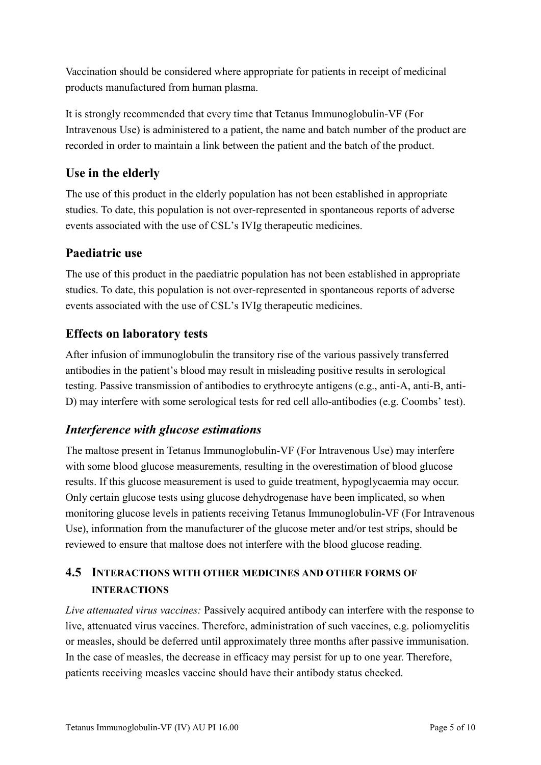Vaccination should be considered where appropriate for patients in receipt of medicinal products manufactured from human plasma.

It is strongly recommended that every time that Tetanus Immunoglobulin-VF (For Intravenous Use) is administered to a patient, the name and batch number of the product are recorded in order to maintain a link between the patient and the batch of the product.

## **Use in the elderly**

The use of this product in the elderly population has not been established in appropriate studies. To date, this population is not over-represented in spontaneous reports of adverse events associated with the use of CSL's IVIg therapeutic medicines.

## **Paediatric use**

The use of this product in the paediatric population has not been established in appropriate studies. To date, this population is not over-represented in spontaneous reports of adverse events associated with the use of CSL's IVIg therapeutic medicines.

## **Effects on laboratory tests**

After infusion of immunoglobulin the transitory rise of the various passively transferred antibodies in the patient's blood may result in misleading positive results in serological testing. Passive transmission of antibodies to erythrocyte antigens (e.g., anti-A, anti-B, anti-D) may interfere with some serological tests for red cell allo-antibodies (e.g. Coombs' test).

### *Interference with glucose estimations*

The maltose present in Tetanus Immunoglobulin-VF (For Intravenous Use) may interfere with some blood glucose measurements, resulting in the overestimation of blood glucose results. If this glucose measurement is used to guide treatment, hypoglycaemia may occur. Only certain glucose tests using glucose dehydrogenase have been implicated, so when monitoring glucose levels in patients receiving Tetanus Immunoglobulin-VF (For Intravenous Use), information from the manufacturer of the glucose meter and/or test strips, should be reviewed to ensure that maltose does not interfere with the blood glucose reading.

## **4.5 INTERACTIONS WITH OTHER MEDICINES AND OTHER FORMS OF INTERACTIONS**

*Live attenuated virus vaccines:* Passively acquired antibody can interfere with the response to live, attenuated virus vaccines. Therefore, administration of such vaccines, e.g. poliomyelitis or measles, should be deferred until approximately three months after passive immunisation. In the case of measles, the decrease in efficacy may persist for up to one year. Therefore, patients receiving measles vaccine should have their antibody status checked.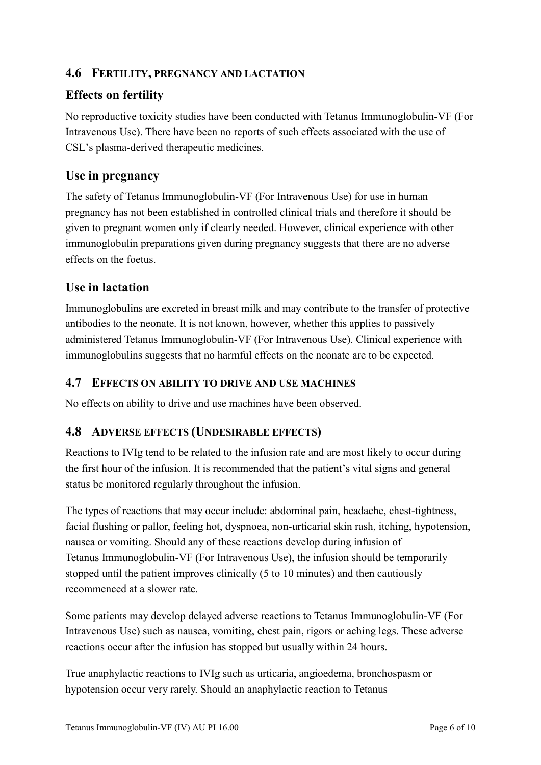### **4.6 FERTILITY, PREGNANCY AND LACTATION**

# **Effects on fertility**

No reproductive toxicity studies have been conducted with Tetanus Immunoglobulin-VF (For Intravenous Use). There have been no reports of such effects associated with the use of CSL's plasma-derived therapeutic medicines.

### **Use in pregnancy**

The safety of Tetanus Immunoglobulin-VF (For Intravenous Use) for use in human pregnancy has not been established in controlled clinical trials and therefore it should be given to pregnant women only if clearly needed. However, clinical experience with other immunoglobulin preparations given during pregnancy suggests that there are no adverse effects on the foetus.

## **Use in lactation**

Immunoglobulins are excreted in breast milk and may contribute to the transfer of protective antibodies to the neonate. It is not known, however, whether this applies to passively administered Tetanus Immunoglobulin-VF (For Intravenous Use). Clinical experience with immunoglobulins suggests that no harmful effects on the neonate are to be expected.

### **4.7 EFFECTS ON ABILITY TO DRIVE AND USE MACHINES**

No effects on ability to drive and use machines have been observed.

### **4.8 ADVERSE EFFECTS (UNDESIRABLE EFFECTS)**

Reactions to IVIg tend to be related to the infusion rate and are most likely to occur during the first hour of the infusion. It is recommended that the patient's vital signs and general status be monitored regularly throughout the infusion.

The types of reactions that may occur include: abdominal pain, headache, chest-tightness, facial flushing or pallor, feeling hot, dyspnoea, non-urticarial skin rash, itching, hypotension, nausea or vomiting. Should any of these reactions develop during infusion of Tetanus Immunoglobulin-VF (For Intravenous Use), the infusion should be temporarily stopped until the patient improves clinically (5 to 10 minutes) and then cautiously recommenced at a slower rate.

Some patients may develop delayed adverse reactions to Tetanus Immunoglobulin-VF (For Intravenous Use) such as nausea, vomiting, chest pain, rigors or aching legs. These adverse reactions occur after the infusion has stopped but usually within 24 hours.

True anaphylactic reactions to IVIg such as urticaria, angioedema, bronchospasm or hypotension occur very rarely. Should an anaphylactic reaction to Tetanus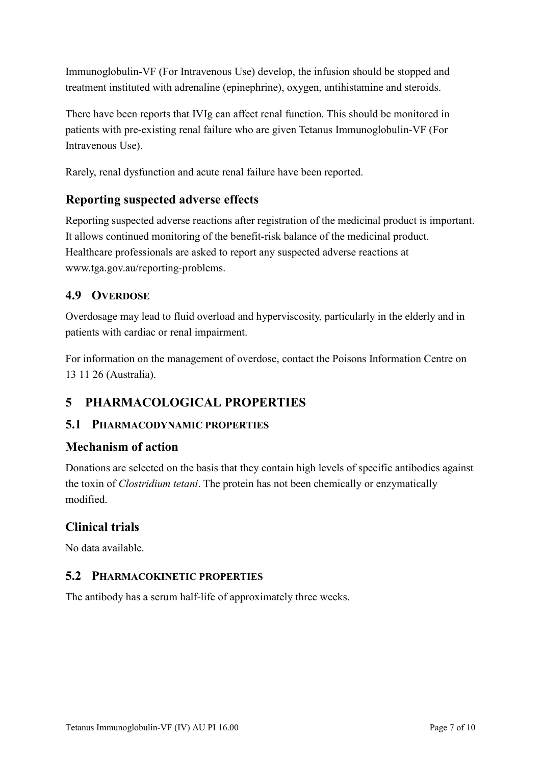Immunoglobulin-VF (For Intravenous Use) develop, the infusion should be stopped and treatment instituted with adrenaline (epinephrine), oxygen, antihistamine and steroids.

There have been reports that IVIg can affect renal function. This should be monitored in patients with pre-existing renal failure who are given Tetanus Immunoglobulin-VF (For Intravenous Use).

Rarely, renal dysfunction and acute renal failure have been reported.

## **Reporting suspected adverse effects**

Reporting suspected adverse reactions after registration of the medicinal product is important. It allows continued monitoring of the benefit-risk balance of the medicinal product. Healthcare professionals are asked to report any suspected adverse reactions at www.tga.gov.au/reporting-problems.

### **4.9 OVERDOSE**

Overdosage may lead to fluid overload and hyperviscosity, particularly in the elderly and in patients with cardiac or renal impairment.

For information on the management of overdose, contact the Poisons Information Centre on 13 11 26 (Australia).

# **5 PHARMACOLOGICAL PROPERTIES**

### **5.1 PHARMACODYNAMIC PROPERTIES**

### **Mechanism of action**

Donations are selected on the basis that they contain high levels of specific antibodies against the toxin of *Clostridium tetani*. The protein has not been chemically or enzymatically modified.

### **Clinical trials**

No data available.

### **5.2 PHARMACOKINETIC PROPERTIES**

The antibody has a serum half-life of approximately three weeks.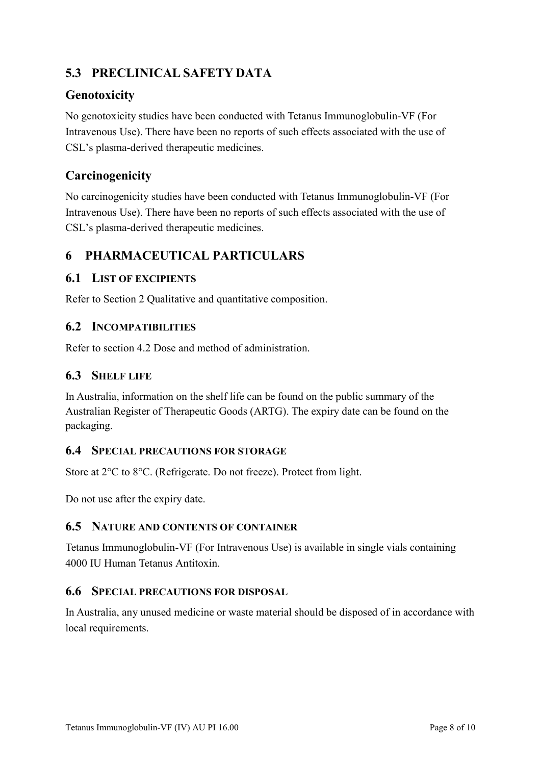# **5.3 PRECLINICAL SAFETY DATA**

## **Genotoxicity**

No genotoxicity studies have been conducted with Tetanus Immunoglobulin-VF (For Intravenous Use). There have been no reports of such effects associated with the use of CSL's plasma-derived therapeutic medicines.

## **Carcinogenicity**

No carcinogenicity studies have been conducted with Tetanus Immunoglobulin-VF (For Intravenous Use). There have been no reports of such effects associated with the use of CSL's plasma-derived therapeutic medicines.

## **6 PHARMACEUTICAL PARTICULARS**

### **6.1 LIST OF EXCIPIENTS**

Refer to Section 2 Qualitative and quantitative composition.

### **6.2 INCOMPATIBILITIES**

Refer to section 4.2 Dose and method of administration.

### **6.3 SHELF LIFE**

In Australia, information on the shelf life can be found on the public summary of the Australian Register of Therapeutic Goods (ARTG). The expiry date can be found on the packaging.

### **6.4 SPECIAL PRECAUTIONS FOR STORAGE**

Store at 2°C to 8°C. (Refrigerate. Do not freeze). Protect from light.

Do not use after the expiry date.

#### **6.5 NATURE AND CONTENTS OF CONTAINER**

Tetanus Immunoglobulin-VF (For Intravenous Use) is available in single vials containing 4000 IU Human Tetanus Antitoxin.

### **6.6 SPECIAL PRECAUTIONS FOR DISPOSAL**

In Australia, any unused medicine or waste material should be disposed of in accordance with local requirements.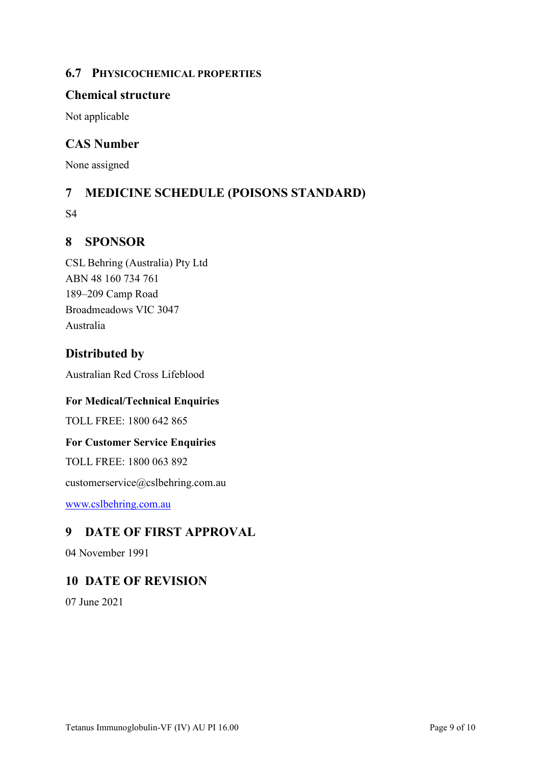### **6.7 PHYSICOCHEMICAL PROPERTIES**

### **Chemical structure**

Not applicable

### **CAS Number**

None assigned

## **7 MEDICINE SCHEDULE (POISONS STANDARD)**

S4

### **8 SPONSOR**

CSL Behring (Australia) Pty Ltd ABN 48 160 734 761 189–209 Camp Road Broadmeadows VIC 3047 Australia

### **Distributed by**

Australian Red Cross Lifeblood

#### **For Medical/Technical Enquiries**

TOLL FREE: 1800 642 865

#### **For Customer Service Enquiries**

TOLL FREE: 1800 063 892

customerservice@cslbehring.com.au

[www.cslbehring.com.au](http://www.cslbehring.com.au/)

### **9 DATE OF FIRST APPROVAL**

04 November 1991

### **10 DATE OF REVISION**

07 June 2021